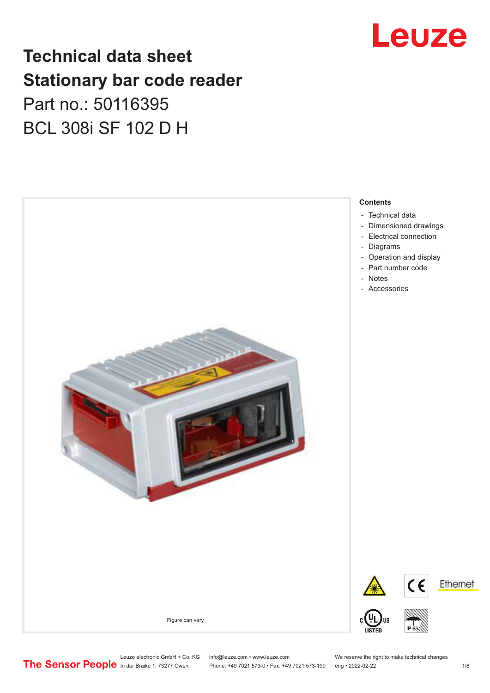## Leuze

## **Technical data sheet Stationary bar code reader** Part no.: 50116395 BCL 308i SF 102 D H



Leuze electronic GmbH + Co. KG info@leuze.com • www.leuze.com We reserve the right to make technical changes<br>
The Sensor People in der Braike 1, 73277 Owen Phone: +49 7021 573-0 • Fax: +49 7021 573-199 eng • 2022-02-22

Phone: +49 7021 573-0 • Fax: +49 7021 573-199 eng • 2022-02-22 1 /8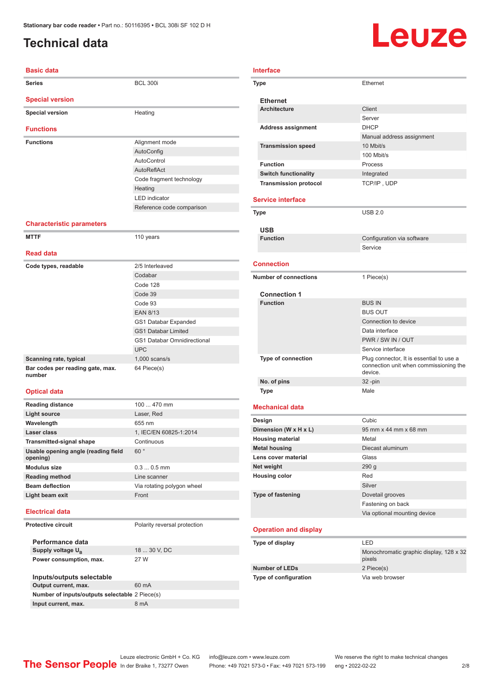### <span id="page-1-0"></span>**Technical data**

## Leuze

| <b>Basic data</b>                |                           |  |
|----------------------------------|---------------------------|--|
| <b>Series</b>                    | <b>BCL 300i</b>           |  |
| <b>Special version</b>           |                           |  |
| <b>Special version</b>           | Heating                   |  |
| <b>Functions</b>                 |                           |  |
| <b>Functions</b>                 | Alignment mode            |  |
|                                  | AutoConfig                |  |
|                                  | AutoControl               |  |
|                                  | AutoReflAct               |  |
|                                  | Code fragment technology  |  |
|                                  | Heating                   |  |
|                                  | <b>LED</b> indicator      |  |
|                                  | Reference code comparison |  |
| <b>Characteristic parameters</b> |                           |  |

#### **MTTF** 110 years **Read data Code types, readable** 2/5 Interleaved Codabar Code 128 Code 39 Code 93 EAN 8/13 GS1 Databar Expanded GS1 Databar Limited GS1 Databar Omnidirectional UPC **Scanning rate, typical** 1,000 scans/s **Bar codes per reading gate, max. number** 64 Piece(s)

#### **Optical data**

| <b>Reading distance</b>                         | $100470$ mm                |
|-------------------------------------------------|----------------------------|
| Light source                                    | Laser, Red                 |
| Wavelength                                      | 655 nm                     |
| Laser class                                     | 1, IEC/EN 60825-1:2014     |
| <b>Transmitted-signal shape</b>                 | Continuous                 |
| Usable opening angle (reading field<br>opening) | 60°                        |
| <b>Modulus size</b>                             | $0.30.5$ mm                |
| <b>Reading method</b>                           | Line scanner               |
| <b>Beam deflection</b>                          | Via rotating polygon wheel |
| Light beam exit                                 | Front                      |
|                                                 |                            |

#### **Electrical data**

**Protective circuit** Polarity reversal protection

**Performance data** Supply voltage  $U_B$ **Power consumption, max.** 27 W

18 ... 30 V, DC

| Inputs/outputs selectable                      |       |
|------------------------------------------------|-------|
| Output current, max.                           | 60 mA |
| Number of inputs/outputs selectable 2 Piece(s) |       |
| Input current, max.                            | 8 mA  |
|                                                |       |

| <b>Interface</b>             |                                                                                               |
|------------------------------|-----------------------------------------------------------------------------------------------|
| Type                         | Ethernet                                                                                      |
| <b>Ethernet</b>              |                                                                                               |
| <b>Architecture</b>          | Client                                                                                        |
|                              | Server                                                                                        |
| <b>Address assignment</b>    | <b>DHCP</b>                                                                                   |
|                              | Manual address assignment                                                                     |
| <b>Transmission speed</b>    | 10 Mbit/s                                                                                     |
|                              | 100 Mbit/s                                                                                    |
| <b>Function</b>              | Process                                                                                       |
| <b>Switch functionality</b>  | Integrated                                                                                    |
| <b>Transmission protocol</b> | TCP/IP, UDP                                                                                   |
| <b>Service interface</b>     |                                                                                               |
| Type                         | <b>USB 2.0</b>                                                                                |
| <b>USB</b>                   |                                                                                               |
| <b>Function</b>              | Configuration via software                                                                    |
|                              | Service                                                                                       |
| <b>Connection</b>            |                                                                                               |
| <b>Number of connections</b> | 1 Piece(s)                                                                                    |
| <b>Connection 1</b>          |                                                                                               |
| <b>Function</b>              | <b>BUS IN</b>                                                                                 |
|                              | <b>BUS OUT</b>                                                                                |
|                              | Connection to device                                                                          |
|                              | Data interface                                                                                |
|                              | PWR / SW IN / OUT                                                                             |
|                              | Service interface                                                                             |
| Type of connection           | Plug connector, It is essential to use a<br>connection unit when commissioning the<br>device. |
| No. of pins                  | 32 -pin                                                                                       |
| <b>Type</b>                  | Male                                                                                          |
| <b>Mechanical data</b>       |                                                                                               |
| Design                       | Cubic                                                                                         |
| Dimension (W x H x L)        | 95 mm x 44 mm x 68 mm                                                                         |
| <b>Housing material</b>      | Metal                                                                                         |
| <b>Metal housing</b>         | Diecast aluminum                                                                              |
| Lens cover material          | Glass                                                                                         |
| Net weight                   | 290 <sub>g</sub>                                                                              |
| <b>Housing color</b>         | Red                                                                                           |
|                              | Silver                                                                                        |
| <b>Type of fastening</b>     | Dovetail grooves                                                                              |
|                              | Fastening on back                                                                             |
|                              | Via optional mounting device                                                                  |
|                              |                                                                                               |

#### **Operation and display**

| Type of display              | I FD                                              |
|------------------------------|---------------------------------------------------|
|                              | Monochromatic graphic display, 128 x 32<br>pixels |
| <b>Number of LEDs</b>        | 2 Piece(s)                                        |
| <b>Type of configuration</b> | Via web browser                                   |

Phone: +49 7021 573-0 • Fax: +49 7021 573-199 eng • 2022-02-22 2 2/8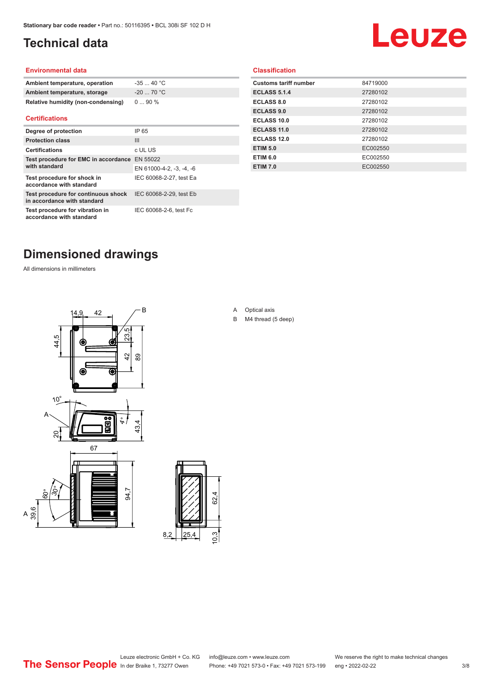### <span id="page-2-0"></span>**Technical data**

## Leuze

#### **Environmental data**

| Ambient temperature, operation     | $-3540 °C$  |
|------------------------------------|-------------|
| Ambient temperature, storage       | $-20$ 70 °C |
| Relative humidity (non-condensing) | $090\%$     |

#### **Certifications**

| Degree of protection                                               | IP 65                    |
|--------------------------------------------------------------------|--------------------------|
| <b>Protection class</b>                                            | Ш                        |
| <b>Certifications</b>                                              | c UL US                  |
| Test procedure for EMC in accordance<br>with standard              | EN 55022                 |
|                                                                    | EN 61000-4-2, -3, -4, -6 |
| Test procedure for shock in<br>accordance with standard            | IEC 60068-2-27, test Ea  |
| Test procedure for continuous shock<br>in accordance with standard | IEC 60068-2-29, test Eb  |
| Test procedure for vibration in<br>accordance with standard        | IEC 60068-2-6, test Fc   |

#### **Classification**

| <b>Customs tariff number</b> | 84719000 |
|------------------------------|----------|
| <b>ECLASS 5.1.4</b>          | 27280102 |
| <b>ECLASS 8.0</b>            | 27280102 |
| <b>ECLASS 9.0</b>            | 27280102 |
| ECLASS 10.0                  | 27280102 |
| <b>ECLASS 11.0</b>           | 27280102 |
| ECLASS 12.0                  | 27280102 |
| <b>ETIM 5.0</b>              | EC002550 |
| <b>ETIM 6.0</b>              | EC002550 |
| <b>ETIM 7.0</b>              | EC002550 |
|                              |          |

#### **Dimensioned drawings**

All dimensions in millimeters





A Optical axis

B M4 thread (5 deep)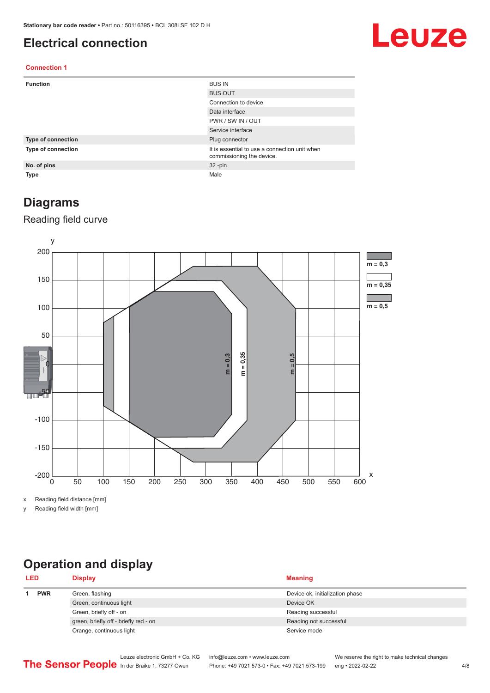#### <span id="page-3-0"></span>**Electrical connection**

## Leuze

#### **Connection 1**

| <b>Function</b>    | <b>BUS IN</b>                                                              |
|--------------------|----------------------------------------------------------------------------|
|                    | <b>BUS OUT</b>                                                             |
|                    | Connection to device                                                       |
|                    | Data interface                                                             |
|                    | PWR / SW IN / OUT                                                          |
|                    | Service interface                                                          |
| Type of connection | Plug connector                                                             |
| Type of connection | It is essential to use a connection unit when<br>commissioning the device. |
| No. of pins        | $32 - pin$                                                                 |
| Type               | Male                                                                       |

#### **Diagrams**

#### Reading field curve



x Reading field distance [mm]

y Reading field width [mm]

### **Operation and display**

| <b>LED</b> |            | <b>Display</b>                        | <b>Meaning</b>                  |
|------------|------------|---------------------------------------|---------------------------------|
|            | <b>PWR</b> | Green, flashing                       | Device ok, initialization phase |
|            |            | Green, continuous light               | Device OK                       |
|            |            | Green, briefly off - on               | Reading successful              |
|            |            | green, briefly off - briefly red - on | Reading not successful          |
|            |            | Orange, continuous light              | Service mode                    |
|            |            |                                       |                                 |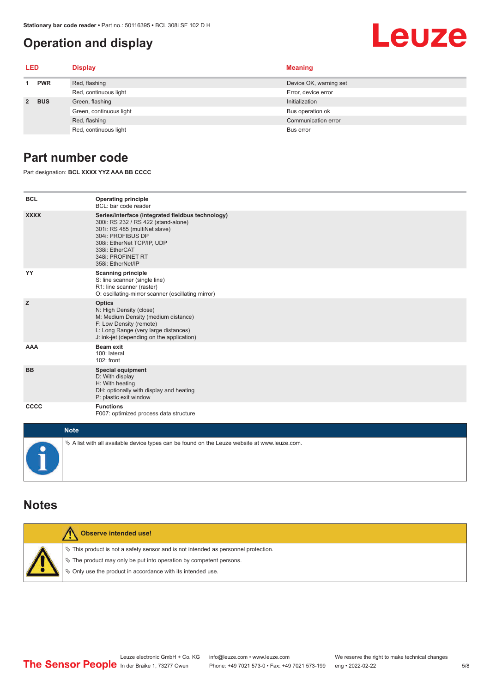#### <span id="page-4-0"></span>**Operation and display**

# Leuze

| LED         |            | <b>Display</b>          | <b>Meaning</b>         |
|-------------|------------|-------------------------|------------------------|
|             | <b>PWR</b> | Red, flashing           | Device OK, warning set |
|             |            | Red, continuous light   | Error, device error    |
| $2^{\circ}$ | <b>BUS</b> | Green, flashing         | Initialization         |
|             |            | Green, continuous light | Bus operation ok       |
|             |            | Red, flashing           | Communication error    |
|             |            | Red, continuous light   | Bus error              |

#### **Part number code**

Part designation: **BCL XXXX YYZ AAA BB CCCC**

| <b>BCL</b>       | <b>Operating principle</b><br>BCL: bar code reader                                                                                                                                                                                       |
|------------------|------------------------------------------------------------------------------------------------------------------------------------------------------------------------------------------------------------------------------------------|
| <b>XXXX</b>      | Series/interface (integrated fieldbus technology)<br>300i: RS 232 / RS 422 (stand-alone)<br>301i: RS 485 (multiNet slave)<br>304i: PROFIBUS DP<br>308i: EtherNet TCP/IP, UDP<br>338i: EtherCAT<br>348i: PROFINET RT<br>358i: EtherNet/IP |
| YY               | <b>Scanning principle</b><br>S: line scanner (single line)<br>R1: line scanner (raster)<br>O: oscillating-mirror scanner (oscillating mirror)                                                                                            |
| z                | <b>Optics</b><br>N: High Density (close)<br>M: Medium Density (medium distance)<br>F: Low Density (remote)<br>L: Long Range (very large distances)<br>J: ink-jet (depending on the application)                                          |
| <b>AAA</b>       | <b>Beam exit</b><br>100: lateral<br>102: front                                                                                                                                                                                           |
| <b>BB</b>        | <b>Special equipment</b><br>D: With display<br>H: With heating<br>DH: optionally with display and heating<br>P: plastic exit window                                                                                                      |
| CCCC             | <b>Functions</b><br>F007: optimized process data structure                                                                                                                                                                               |
| <b>SALE OF A</b> |                                                                                                                                                                                                                                          |

| <b>Note</b>                                                                                       |
|---------------------------------------------------------------------------------------------------|
| Vector A list with all available device types can be found on the Leuze website at www.leuze.com. |

#### **Notes**

| Observe intended use!                                                                                                                                                                                                      |  |  |  |  |  |
|----------------------------------------------------------------------------------------------------------------------------------------------------------------------------------------------------------------------------|--|--|--|--|--|
| $\%$ This product is not a safety sensor and is not intended as personnel protection.<br>↓ The product may only be put into operation by competent persons.<br>♦ Only use the product in accordance with its intended use. |  |  |  |  |  |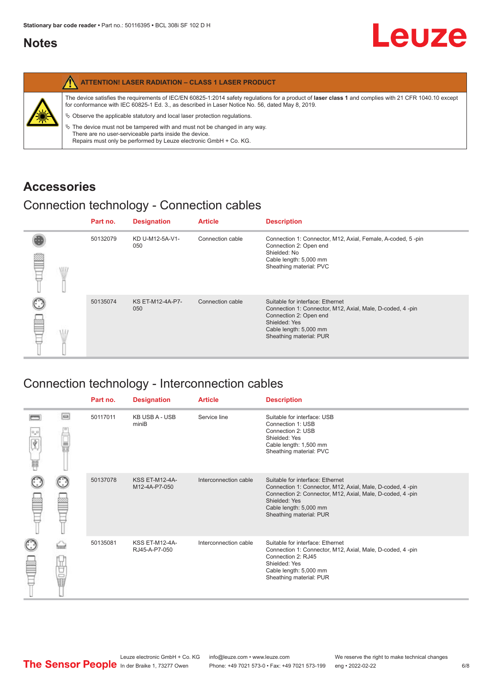#### <span id="page-5-0"></span>**Notes**

|   | <b>ATTENTION! LASER RADIATION - CLASS 1 LASER PRODUCT</b>                                                                                                                                                                                                  |
|---|------------------------------------------------------------------------------------------------------------------------------------------------------------------------------------------------------------------------------------------------------------|
|   | The device satisfies the requirements of IEC/EN 60825-1:2014 safety requlations for a product of laser class 1 and complies with 21 CFR 1040.10 except<br>for conformance with IEC 60825-1 Ed. 3., as described in Laser Notice No. 56, dated May 8, 2019. |
| 美 | $\&$ Observe the applicable statutory and local laser protection regulations.                                                                                                                                                                              |
|   | $\%$ The device must not be tampered with and must not be changed in any way.<br>There are no user-serviceable parts inside the device.<br>Repairs must only be performed by Leuze electronic GmbH + Co. KG.                                               |

#### **Accessories**

#### Connection technology - Connection cables

|      | Part no. | <b>Designation</b>      | <b>Article</b>   | <b>Description</b>                                                                                                                                                                            |
|------|----------|-------------------------|------------------|-----------------------------------------------------------------------------------------------------------------------------------------------------------------------------------------------|
| \ll. | 50132079 | KD U-M12-5A-V1-<br>050  | Connection cable | Connection 1: Connector, M12, Axial, Female, A-coded, 5-pin<br>Connection 2: Open end<br>Shielded: No<br>Cable length: 5,000 mm<br>Sheathing material: PVC                                    |
|      | 50135074 | KS ET-M12-4A-P7-<br>050 | Connection cable | Suitable for interface: Ethernet<br>Connection 1: Connector, M12, Axial, Male, D-coded, 4-pin<br>Connection 2: Open end<br>Shielded: Yes<br>Cable length: 5,000 mm<br>Sheathing material: PUR |

### Connection technology - Interconnection cables

|                           |                                                                                                                                                                                                                                | Part no. | <b>Designation</b>                     | <b>Article</b>        | <b>Description</b>                                                                                                                                                                                                               |
|---------------------------|--------------------------------------------------------------------------------------------------------------------------------------------------------------------------------------------------------------------------------|----------|----------------------------------------|-----------------------|----------------------------------------------------------------------------------------------------------------------------------------------------------------------------------------------------------------------------------|
| $\frac{1}{\sqrt{2}}$<br>Ħ | $\Box$                                                                                                                                                                                                                         | 50117011 | <b>KB USB A - USB</b><br>miniB         | Service line          | Suitable for interface: USB<br>Connection 1: USB<br>Connection 2: USB<br>Shielded: Yes<br>Cable length: 1,500 mm<br>Sheathing material: PVC                                                                                      |
|                           |                                                                                                                                                                                                                                | 50137078 | <b>KSS ET-M12-4A-</b><br>M12-4A-P7-050 | Interconnection cable | Suitable for interface: Ethernet<br>Connection 1: Connector, M12, Axial, Male, D-coded, 4-pin<br>Connection 2: Connector, M12, Axial, Male, D-coded, 4-pin<br>Shielded: Yes<br>Cable length: 5,000 mm<br>Sheathing material: PUR |
|                           | the filled the control in the control in the control in the control in the control in the control in the control in the control in the control in the control in the control in the control in the control in the control in t | 50135081 | <b>KSS ET-M12-4A-</b><br>RJ45-A-P7-050 | Interconnection cable | Suitable for interface: Ethernet<br>Connection 1: Connector, M12, Axial, Male, D-coded, 4-pin<br>Connection 2: RJ45<br>Shielded: Yes<br>Cable length: 5,000 mm<br>Sheathing material: PUR                                        |

Leuze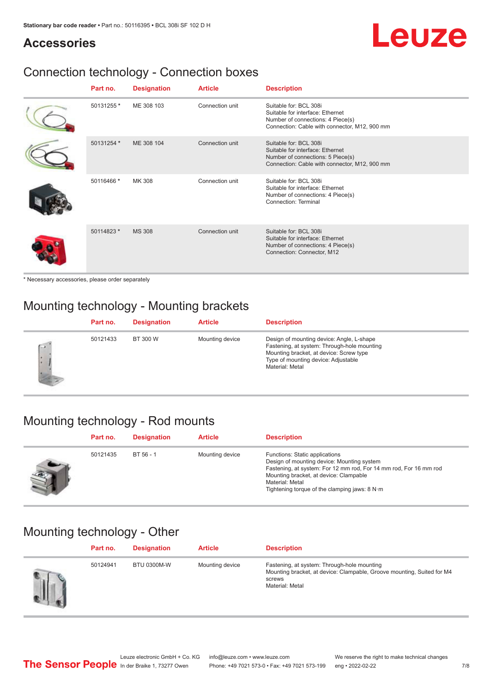## Leuze

#### **Accessories**

## Connection technology - Connection boxes

| Part no.   | <b>Designation</b> | <b>Article</b>  | <b>Description</b>                                                                                                                               |
|------------|--------------------|-----------------|--------------------------------------------------------------------------------------------------------------------------------------------------|
| 50131255 * | ME 308 103         | Connection unit | Suitable for: BCL 308i<br>Suitable for interface: Ethernet<br>Number of connections: 4 Piece(s)<br>Connection: Cable with connector, M12, 900 mm |
| 50131254 * | ME 308 104         | Connection unit | Suitable for: BCL 308i<br>Suitable for interface: Ethernet<br>Number of connections: 5 Piece(s)<br>Connection: Cable with connector, M12, 900 mm |
| 50116466 * | <b>MK 308</b>      | Connection unit | Suitable for: BCL 308i<br>Suitable for interface: Ethernet<br>Number of connections: 4 Piece(s)<br>Connection: Terminal                          |
| 50114823 * | <b>MS 308</b>      | Connection unit | Suitable for: BCL 308i<br>Suitable for interface: Ethernet<br>Number of connections: 4 Piece(s)<br>Connection: Connector, M12                    |

\* Necessary accessories, please order separately

### Mounting technology - Mounting brackets

|        | Part no. | <b>Designation</b> | <b>Article</b>  | <b>Description</b>                                                                                                                                                                            |
|--------|----------|--------------------|-----------------|-----------------------------------------------------------------------------------------------------------------------------------------------------------------------------------------------|
| $\sim$ | 50121433 | BT 300 W           | Mounting device | Design of mounting device: Angle, L-shape<br>Fastening, at system: Through-hole mounting<br>Mounting bracket, at device: Screw type<br>Type of mounting device: Adjustable<br>Material: Metal |

### Mounting technology - Rod mounts

| Part no. | <b>Designation</b> | <b>Article</b>  | <b>Description</b>                                                                                                                                                                                                                                                |
|----------|--------------------|-----------------|-------------------------------------------------------------------------------------------------------------------------------------------------------------------------------------------------------------------------------------------------------------------|
| 50121435 | $BT 56 - 1$        | Mounting device | Functions: Static applications<br>Design of mounting device: Mounting system<br>Fastening, at system: For 12 mm rod, For 14 mm rod, For 16 mm rod<br>Mounting bracket, at device: Clampable<br>Material: Metal<br>Tightening torque of the clamping jaws: $8 N·m$ |

### Mounting technology - Other

| Part no. | <b>Designation</b> | <b>Article</b>  | <b>Description</b>                                                                                                                                 |
|----------|--------------------|-----------------|----------------------------------------------------------------------------------------------------------------------------------------------------|
| 50124941 | <b>BTU 0300M-W</b> | Mounting device | Fastening, at system: Through-hole mounting<br>Mounting bracket, at device: Clampable, Groove mounting, Suited for M4<br>screws<br>Material: Metal |